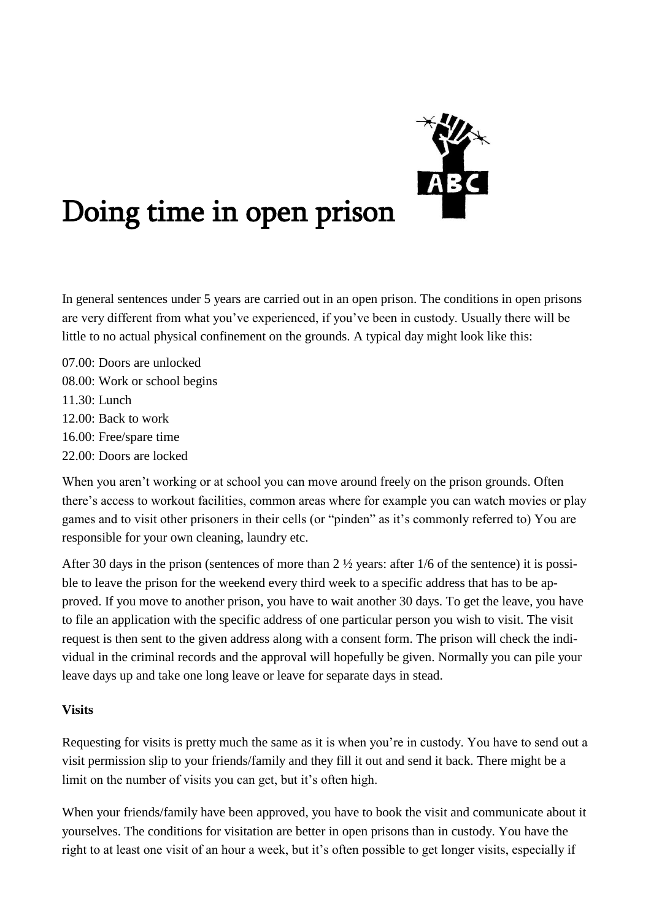

# Doing time in open prison

In general sentences under 5 years are carried out in an open prison. The conditions in open prisons are very different from what you've experienced, if you've been in custody. Usually there will be little to no actual physical confinement on the grounds. A typical day might look like this:

07.00: Doors are unlocked 08.00: Work or school begins 11.30: Lunch 12.00: Back to work 16.00: Free/spare time 22.00: Doors are locked

When you aren't working or at school you can move around freely on the prison grounds. Often there's access to workout facilities, common areas where for example you can watch movies or play games and to visit other prisoners in their cells (or "pinden" as it's commonly referred to) You are responsible for your own cleaning, laundry etc.

After 30 days in the prison (sentences of more than 2 ½ years: after 1/6 of the sentence) it is possible to leave the prison for the weekend every third week to a specific address that has to be approved. If you move to another prison, you have to wait another 30 days. To get the leave, you have to file an application with the specific address of one particular person you wish to visit. The visit request is then sent to the given address along with a consent form. The prison will check the individual in the criminal records and the approval will hopefully be given. Normally you can pile your leave days up and take one long leave or leave for separate days in stead.

### **Visits**

Requesting for visits is pretty much the same as it is when you're in custody. You have to send out a visit permission slip to your friends/family and they fill it out and send it back. There might be a limit on the number of visits you can get, but it's often high.

When your friends/family have been approved, you have to book the visit and communicate about it yourselves. The conditions for visitation are better in open prisons than in custody. You have the right to at least one visit of an hour a week, but it's often possible to get longer visits, especially if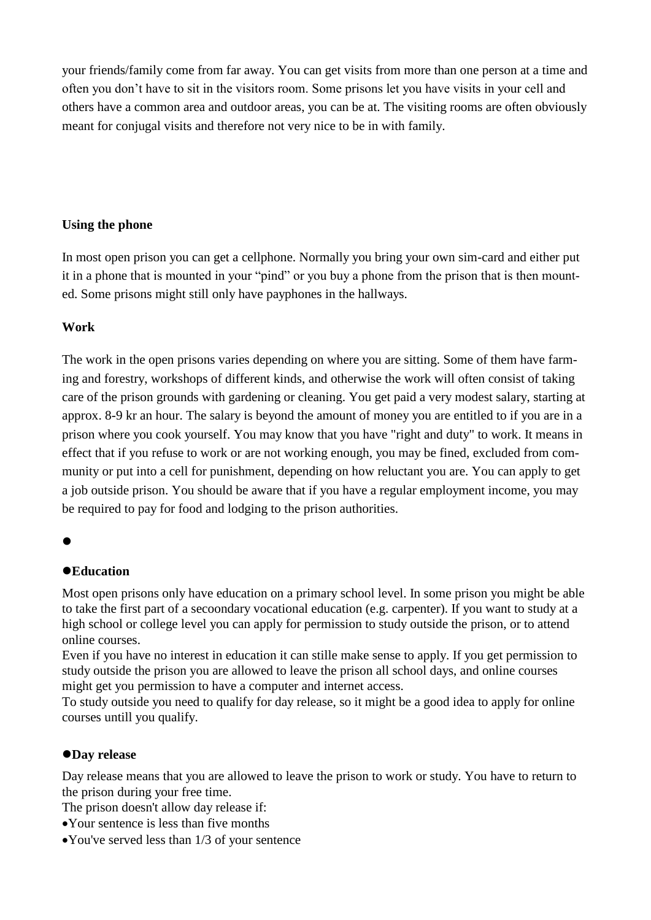your friends/family come from far away. You can get visits from more than one person at a time and often you don't have to sit in the visitors room. Some prisons let you have visits in your cell and others have a common area and outdoor areas, you can be at. The visiting rooms are often obviously meant for conjugal visits and therefore not very nice to be in with family.

## **Using the phone**

In most open prison you can get a cellphone. Normally you bring your own sim-card and either put it in a phone that is mounted in your "pind" or you buy a phone from the prison that is then mounted. Some prisons might still only have payphones in the hallways.

## **Work**

The work in the open prisons varies depending on where you are sitting. Some of them have farming and forestry, workshops of different kinds, and otherwise the work will often consist of taking care of the prison grounds with gardening or cleaning. You get paid a very modest salary, starting at approx. 8-9 kr an hour. The salary is beyond the amount of money you are entitled to if you are in a prison where you cook yourself. You may know that you have "right and duty" to work. It means in effect that if you refuse to work or are not working enough, you may be fined, excluded from community or put into a cell for punishment, depending on how reluctant you are. You can apply to get a job outside prison. You should be aware that if you have a regular employment income, you may be required to pay for food and lodging to the prison authorities.

## $\bullet$

# ⚫**Education**

Most open prisons only have education on a primary school level. In some prison you might be able to take the first part of a secoondary vocational education (e.g. carpenter). If you want to study at a high school or college level you can apply for permission to study outside the prison, or to attend online courses.

Even if you have no interest in education it can stille make sense to apply. If you get permission to study outside the prison you are allowed to leave the prison all school days, and online courses might get you permission to have a computer and internet access.

To study outside you need to qualify for day release, so it might be a good idea to apply for online courses untill you qualify.

### ⚫**Day release**

Day release means that you are allowed to leave the prison to work or study. You have to return to the prison during your free time.

The prison doesn't allow day release if:

- •Your sentence is less than five months
- •You've served less than 1/3 of your sentence